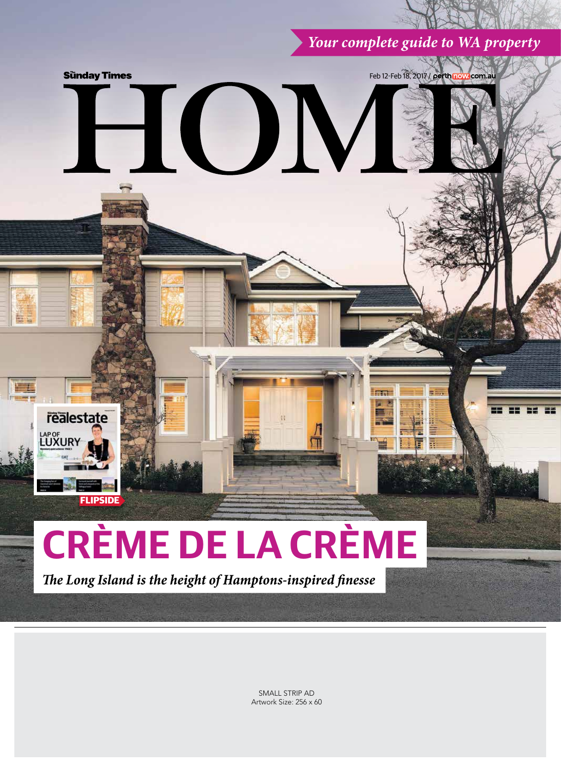*Your complete guide to WA property*



SMALL STRIP AD Artwork Size: 256 x 60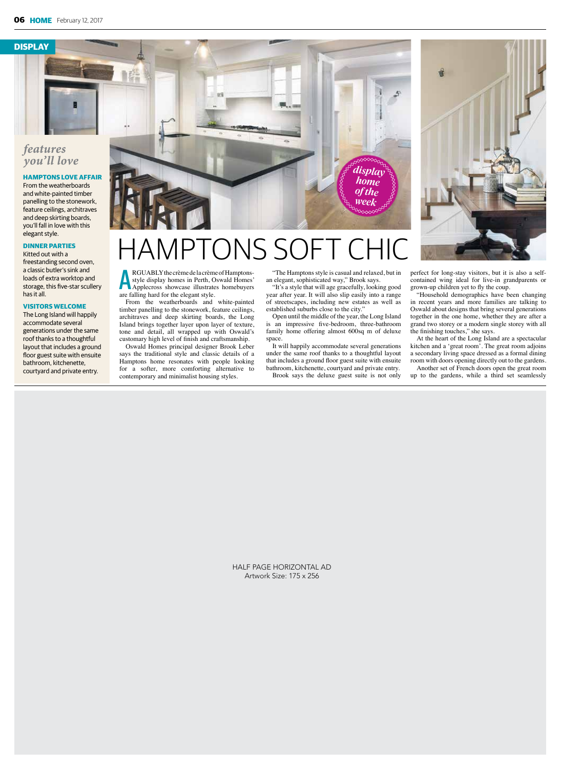**DISPLAY**

# *features you'll love*

### **HAMPTONS LOVE AFFAIR**

From the weatherboards and white-painted timber panelling to the stonework, feature ceilings, architraves and deep skirting boards, you'll fall in love with this elegant style.

#### **DINNER PARTIES**

Kitted out with a freestanding second oven, a classic butler's sink and loads of extra worktop and storage, this five-star scullery has it all.

#### **VISITORS WELCOME**

The Long Island will happily accommodate several generations under the same roof thanks to a thoughtful layout that includes a ground floor guest suite with ensuite bathroom, kitchenette, courtyard and private entry.



# AMPTONS SOF

**ARGUABLY** the crème de la crème style display homes in Perth, C<br>Applecross showcase illustrate<br>are falling hard for the elegant style. RGUABLY the crème de la crème of Hamptonsstyle display homes in Perth, Oswald Homes' Applecross showcase illustrates homebuyers

From the weatherboards and white-painted timber panelling to the stonework, feature ceilings, architraves and deep skirting boards, the Long Island brings together layer upon layer of texture, tone and detail, all wrapped up with Oswald's customary high level of finish and craftsmanship.

Oswald Homes principal designer Brook Leber says the traditional style and classic details of a Hamptons home resonates with people looking for a softer, more comforting alternative to contemporary and minimalist housing styles.

"The Hamptons style is casual and relaxed, but in an elegant, sophisticated way," Brook says.

"It's a style that will age gracefully, looking good year after year. It will also slip easily into a range of streetscapes, including new estates as well as established suburbs close to the city.'

Open until the middle of the year, the Long Island is an impressive five-bedroom, three-bathroom family home offering almost 600sq m of deluxe space.

It will happily accommodate several generations under the same roof thanks to a thoughtful layout that includes a ground floor guest suite with ensuite bathroom, kitchenette, courtyard and private entry. Brook says the deluxe guest suite is not only



perfect for long-stay visitors, but it is also a selfcontained wing ideal for live-in grandparents or grown-up children yet to fly the coup.

"Household demographics have been changing in recent years and more families are talking to Oswald about designs that bring several generations together in the one home, whether they are after a grand two storey or a modern single storey with all the finishing touches," she says.

At the heart of the Long Island are a spectacular kitchen and a 'great room'. The great room adjoins a secondary living space dressed as a formal dining room with doors opening directly out to the gardens.

Another set of French doors open the great room up to the gardens, while a third set seamlessly

HALF PAGE HORIZONTAL AD Artwork Size: 175 x 256